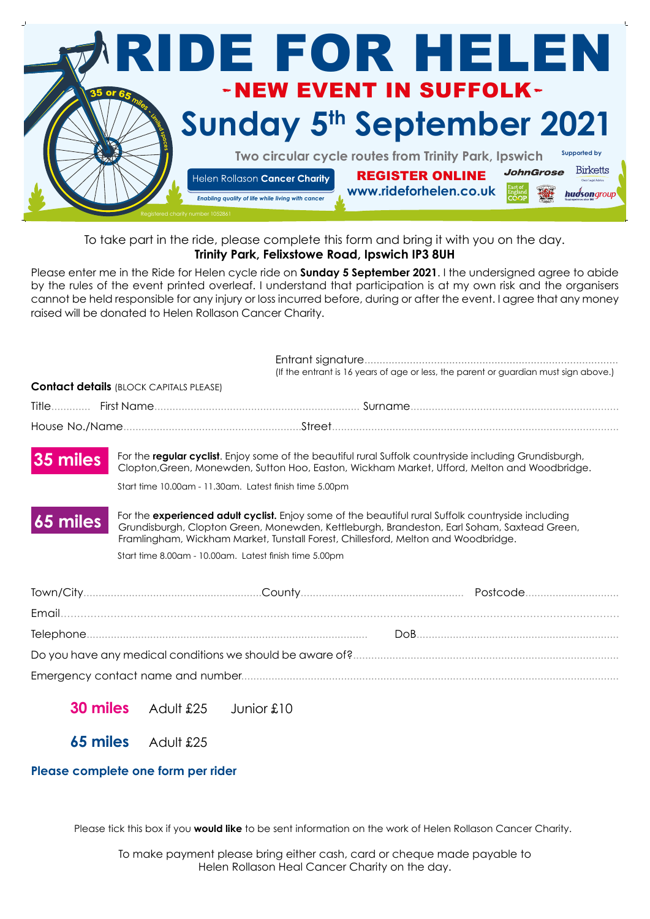

## To take part in the ride, please complete this form and bring it with you on the day. **Trinity Park, Felixstowe Road, Ipswich IP3 8UH**

Please enter me in the Ride for Helen cycle ride on **Sunday 5 September 2021**. I the undersigned agree to abide by the rules of the event printed overleaf. I understand that participation is at my own risk and the organisers cannot be held responsible for any injury or loss incurred before, during or after the event. I agree that any money raised will be donated to Helen Rollason Cancer Charity.

|            |                                                                                                                                                                                                                                                                                       | (If the entrant is 16 years of age or less, the parent or guardian must sign above.) |  |
|------------|---------------------------------------------------------------------------------------------------------------------------------------------------------------------------------------------------------------------------------------------------------------------------------------|--------------------------------------------------------------------------------------|--|
|            | <b>Contact details (BLOCK CAPITALS PLEASE)</b>                                                                                                                                                                                                                                        |                                                                                      |  |
|            |                                                                                                                                                                                                                                                                                       |                                                                                      |  |
|            |                                                                                                                                                                                                                                                                                       |                                                                                      |  |
| 35 miles   | For the regular cyclist. Enjoy some of the beautiful rural Suffolk countryside including Grundisburgh,<br>Clopton, Green, Monewden, Sutton Hoo, Easton, Wickham Market, Ufford, Melton and Woodbridge.                                                                                |                                                                                      |  |
|            | Start time 10.00am - 11.30am. Latest finish time 5.00pm                                                                                                                                                                                                                               |                                                                                      |  |
| $65$ miles | For the experienced adult cyclist. Enjoy some of the beautiful rural Suffolk countryside including<br>Grundisburgh, Clopton Green, Monewden, Kettleburgh, Brandeston, Earl Soham, Saxtead Green,<br>Framlingham, Wickham Market, Tunstall Forest, Chillesford, Melton and Woodbridge. |                                                                                      |  |
|            | Start time 8.00am - 10.00am. Latest finish time 5.00pm                                                                                                                                                                                                                                |                                                                                      |  |
|            |                                                                                                                                                                                                                                                                                       |                                                                                      |  |
|            |                                                                                                                                                                                                                                                                                       |                                                                                      |  |
|            |                                                                                                                                                                                                                                                                                       |                                                                                      |  |
|            |                                                                                                                                                                                                                                                                                       |                                                                                      |  |
|            |                                                                                                                                                                                                                                                                                       |                                                                                      |  |
|            |                                                                                                                                                                                                                                                                                       |                                                                                      |  |

**30 miles** Adult £25 Junior £10

**65 miles** Adult £25

## **Please complete one form per rider**

Please tick this box if you **would like** to be sent information on the work of Helen Rollason Cancer Charity.

To make payment please bring either cash, card or cheque made payable to Helen Rollason Heal Cancer Charity on the day.